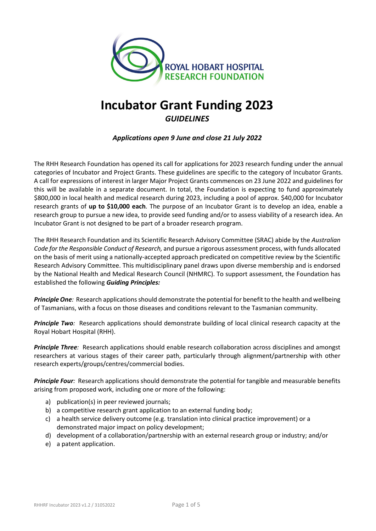

# **Incubator Grant Funding 2023** *GUIDELINES*

*Applications open 9 June and close 21 July 2022*

The RHH Research Foundation has opened its call for applications for 2023 research funding under the annual categories of Incubator and Project Grants. These guidelines are specific to the category of Incubator Grants. A call for expressions of interest in larger Major Project Grants commences on 23 June 2022 and guidelines for this will be available in a separate document. In total, the Foundation is expecting to fund approximately \$800,000 in local health and medical research during 2023, including a pool of approx. \$40,000 for Incubator research grants of **up to \$10,000 each**. The purpose of an Incubator Grant is to develop an idea, enable a research group to pursue a new idea, to provide seed funding and/or to assess viability of a research idea. An Incubator Grant is not designed to be part of a broader research program.

The RHH Research Foundation and its Scientific Research Advisory Committee (SRAC) abide by the *Australian Code for the Responsible Conduct of Research,* and pursue a rigorous assessment process, with funds allocated on the basis of merit using a nationally-accepted approach predicated on competitive review by the Scientific Research Advisory Committee. This multidisciplinary panel draws upon diverse membership and is endorsed by the National Health and Medical Research Council (NHMRC). To support assessment, the Foundation has established the following *Guiding Principles:*

*Principle One:* Research applications should demonstrate the potential for benefit to the health and wellbeing of Tasmanians, with a focus on those diseases and conditions relevant to the Tasmanian community.

**Principle Two**: Research applications should demonstrate building of local clinical research capacity at the Royal Hobart Hospital (RHH).

*Principle Three:* Research applications should enable research collaboration across disciplines and amongst researchers at various stages of their career path, particularly through alignment/partnership with other research experts/groups/centres/commercial bodies.

*Principle Four:* Research applications should demonstrate the potential for tangible and measurable benefits arising from proposed work, including one or more of the following:

- a) publication(s) in peer reviewed journals;
- b) a competitive research grant application to an external funding body;
- c) a health service delivery outcome (e.g. translation into clinical practice improvement) or a demonstrated major impact on policy development;
- d) development of a collaboration/partnership with an external research group or industry; and/or
- e) a patent application.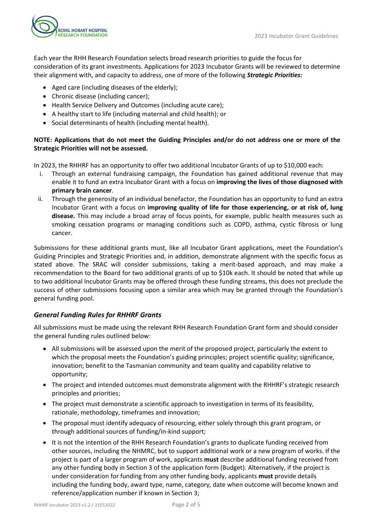

Each year the RHH Research Foundation selects broad research priorities to guide the focus for consideration of its grant investments. Applications for 2023 Incubator Grants will be reviewed to determine their alignment with, and capacity to address, one of more of the following *Strategic Priorities:*

- Aged care (including diseases of the elderly);
- Chronic disease (including cancer);
- Health Service Delivery and Outcomes (including acute care);
- A healthy start to life (including maternal and child health); or
- Social determinants of health (including mental health).

# **NOTE: Applications that do not meet the Guiding Principles and/or do not address one or more of the Strategic Priorities will not be assessed.**

In 2023, the RHHRF has an opportunity to offer two additional Incubator Grants of up to \$10,000 each:

- i. Through an external fundraising campaign, the Foundation has gained additional revenue that may enable it to fund an extra Incubator Grant with a focus on **improving the lives of those diagnosed with primary brain cancer**.
- ii. Through the generosity of an individual benefactor, the Foundation has an opportunity to fund an extra Incubator Grant with a focus on **improving quality of life for those experiencing, or at risk of, lung disease.** This may include a broad array of focus points, for example, public health measures such as smoking cessation programs or managing conditions such as COPD, asthma, cystic fibrosis or lung cancer.

Submissions for these additional grants must, like all Incubator Grant applications, meet the Foundation's Guiding Principles and Strategic Priorities and, in addition, demonstrate alignment with the specific focus as stated above. The SRAC will consider submissions, taking a merit-based approach, and may make a recommendation to the Board for two additional grants of up to \$10k each. It should be noted that while up to two additional Incubator Grants may be offered through these funding streams, this does not preclude the success of other submissions focusing upon a similar area which may be granted through the Foundation's general funding pool.

# *General Funding Rules for RHHRF Grants*

All submissions must be made using the relevant RHH Research Foundation Grant form and should consider the general funding rules outlined below:

- All submissions will be assessed upon the merit of the proposed project, particularly the extent to which the proposal meets the Foundation's guiding principles; project scientific quality; significance, innovation; benefit to the Tasmanian community and team quality and capability relative to opportunity;
- The project and intended outcomes must demonstrate alignment with the RHHRF's strategic research principles and priorities;
- The project must demonstrate a scientific approach to investigation in terms of its feasibility, rationale, methodology, timeframes and innovation;
- The proposal must identify adequacy of resourcing, either solely through this grant program, or through additional sources of funding/in-kind support;
- It is not the intention of the RHH Research Foundation's grants to duplicate funding received from other sources, including the NHMRC, but to support additional work or a new program of works. If the project is part of a larger program of work, applicants **must** describe additional funding received from any other funding body in Section 3 of the application form (Budget). Alternatively, if the project is under consideration for funding from any other funding body, applicants **must** provide details including the funding body, award type, name, category, date when outcome will become known and reference/application number if known in Section 3;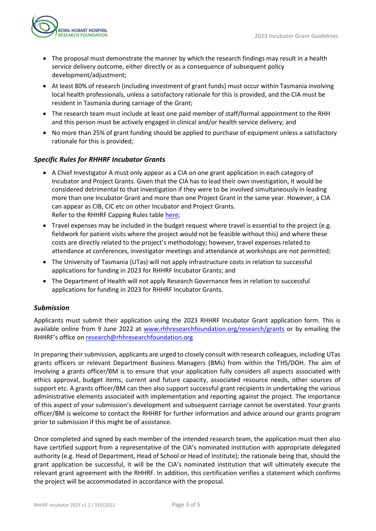

- The proposal must demonstrate the manner by which the research findings may result in a health service delivery outcome, either directly or as a consequence of subsequent policy development/adjustment;
- At least 80% of research (including investment of grant funds) must occur within Tasmania involving local health professionals, unless a satisfactory rationale for this is provided, and the CIA must be resident in Tasmania during carriage of the Grant;
- The research team must include at least one paid member of staff/formal appointment to the RHH and this person must be actively engaged in clinical and/or health service delivery; and
- No more than 25% of grant funding should be applied to purchase of equipment unless a satisfactory rationale for this is provided;

# *Specific Rules for RHHRF Incubator Grants*

- A Chief Investigator A must only appear as a CIA on one grant application in each category of Incubator and Project Grants. Given that the CIA has to lead their own investigation, it would be considered detrimental to that investigation if they were to be involved simultaneously in leading more than one Incubator Grant and more than one Project Grant in the same year. However, a CIA can appear as CIB, CIC etc on other Incubator and Project Grants. Refer to the RHHRF Capping Rules table [here;](https://www.rhhresearchfoundation.org/sites/default/files/wysiwyg_images/rhhrf_capping_table_2023_grant_round.pdf)
- Travel expenses may be included in the budget request where travel is essential to the project (e.g. fieldwork for patient visits where the project would not be feasible without this) and where these costs are directly related to the project's methodology; however, travel expenses related to attendance at conferences, investigator meetings and attendance at workshops are not permitted;
- The University of Tasmania (UTas) will not apply infrastructure costs in relation to successful applications for funding in 2023 for RHHRF Incubator Grants; and
- The Department of Health will not apply Research Governance fees in relation to successful applications for funding in 2023 for RHHRF Incubator Grants.

# *Submission*

Applicants must submit their application using the 2023 RHHRF Incubator Grant application form. This is available online from 9 June 2022 at [www.rhhresearchfoundation.org/research/grants](https://www.rhhresearchfoundation.org/research/grants) or by emailing the RHHRF's office on [research@rhhresearchfoundation.org](mailto:research@rhhresearchfoundation.org)

In preparing their submission, applicants are urged to closely consult with research colleagues, including UTas grants officers or relevant Department Business Managers (BMs) from within the THS/DOH. The aim of involving a grants officer/BM is to ensure that your application fully considers all aspects associated with ethics approval, budget items, current and future capacity, associated resource needs, other sources of support etc. A grants officer/BM can then also support successful grant recipients in undertaking the various administrative elements associated with implementation and reporting against the project. The importance of this aspect of your submission's development and subsequent carriage cannot be overstated. Your grants officer/BM is welcome to contact the RHHRF for further information and advice around our grants program prior to submission if this might be of assistance.

Once completed and signed by each member of the intended research team, the application must then also have certified support from a representative of the CIA's nominated institution with appropriate delegated authority (e.g. Head of Department, Head of School or Head of Institute); the rationale being that, should the grant application be successful, it will be the CIA's nominated institution that will ultimately execute the relevant grant agreement with the RHHRF. In addition, this certification verifies a statement which confirms the project will be accommodated in accordance with the proposal.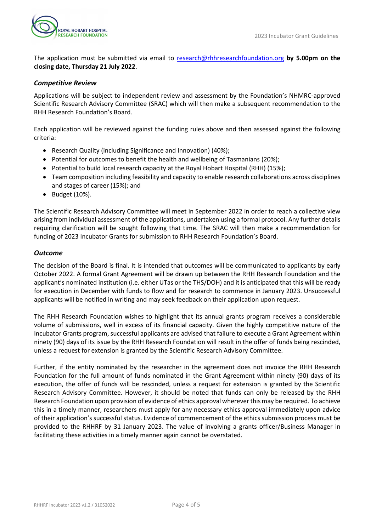The application must be submitted via email to [research@rhhresearchfoundation.org](mailto:research@rhhresearchfoundation.org) **by 5.00pm on the closing date, Thursday 21 July 2022**.

## *Competitive Review*

Applications will be subject to independent review and assessment by the Foundation's NHMRC-approved Scientific Research Advisory Committee (SRAC) which will then make a subsequent recommendation to the RHH Research Foundation's Board.

Each application will be reviewed against the funding rules above and then assessed against the following criteria:

- Research Quality (including Significance and Innovation) (40%);
- Potential for outcomes to benefit the health and wellbeing of Tasmanians (20%);
- Potential to build local research capacity at the Royal Hobart Hospital (RHH) (15%);
- Team composition including feasibility and capacity to enable research collaborations across disciplines and stages of career (15%); and
- Budget (10%).

The Scientific Research Advisory Committee will meet in September 2022 in order to reach a collective view arising from individual assessment of the applications, undertaken using a formal protocol. Any further details requiring clarification will be sought following that time. The SRAC will then make a recommendation for funding of 2023 Incubator Grants for submission to RHH Research Foundation's Board.

#### *Outcome*

The decision of the Board is final. It is intended that outcomes will be communicated to applicants by early October 2022. A formal Grant Agreement will be drawn up between the RHH Research Foundation and the applicant's nominated institution (i.e. either UTas or the THS/DOH) and it is anticipated that this will be ready for execution in December with funds to flow and for research to commence in January 2023. Unsuccessful applicants will be notified in writing and may seek feedback on their application upon request.

The RHH Research Foundation wishes to highlight that its annual grants program receives a considerable volume of submissions, well in excess of its financial capacity. Given the highly competitive nature of the Incubator Grants program, successful applicants are advised that failure to execute a Grant Agreement within ninety (90) days of its issue by the RHH Research Foundation will result in the offer of funds being rescinded, unless a request for extension is granted by the Scientific Research Advisory Committee.

Further, if the entity nominated by the researcher in the agreement does not invoice the RHH Research Foundation for the full amount of funds nominated in the Grant Agreement within ninety (90) days of its execution, the offer of funds will be rescinded, unless a request for extension is granted by the Scientific Research Advisory Committee. However, it should be noted that funds can only be released by the RHH Research Foundation upon provision of evidence of ethics approval wherever this may be required. To achieve this in a timely manner, researchers must apply for any necessary ethics approval immediately upon advice of their application's successful status. Evidence of commencement of the ethics submission process must be provided to the RHHRF by 31 January 2023. The value of involving a grants officer/Business Manager in facilitating these activities in a timely manner again cannot be overstated.